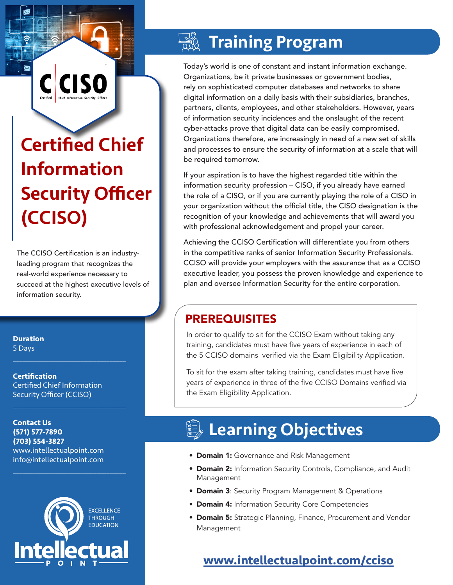# Certified Chief Information Security Officer (CCISO)

**CIS** 

The CCISO Certification is an industryleading program that recognizes the real-world experience necessary to succeed at the highest executive levels of information security.

**Duration** 5 Days

**Certification** Certified Chief Information Security Officer (CCISO)

 $\mathcal{L}_\text{max}$  and  $\mathcal{L}_\text{max}$  and  $\mathcal{L}_\text{max}$  and  $\mathcal{L}_\text{max}$ 

 $\mathcal{L}_\text{max}$  and  $\mathcal{L}_\text{max}$  and  $\mathcal{L}_\text{max}$  and  $\mathcal{L}_\text{max}$ 

 $\mathcal{L}_\text{max}$  , and the set of the set of the set of the set of the set of the set of the set of the set of the set of the set of the set of the set of the set of the set of the set of the set of the set of the set of the

**Contact Us (571) 577-7890 (703) 554-3827** www.intellectualpoint.com info@intellectualpoint.com



## **WE Training Program**

Today's world is one of constant and instant information exchange. Organizations, be it private businesses or government bodies, rely on sophisticated computer databases and networks to share digital information on a daily basis with their subsidiaries, branches, partners, clients, employees, and other stakeholders. However, years of information security incidences and the onslaught of the recent cyber-attacks prove that digital data can be easily compromised. Organizations therefore, are increasingly in need of a new set of skills and processes to ensure the security of information at a scale that will be required tomorrow.

If your aspiration is to have the highest regarded title within the information security profession – CISO, if you already have earned the role of a CISO, or if you are currently playing the role of a CISO in your organization without the official title, the CISO designation is the recognition of your knowledge and achievements that will award you with professional acknowledgement and propel your career.

Achieving the CCISO Certification will differentiate you from others in the competitive ranks of senior Information Security Professionals. CCISO will provide your employers with the assurance that as a CCISO executive leader, you possess the proven knowledge and experience to plan and oversee Information Security for the entire corporation.

### PREREQUISITES

In order to qualify to sit for the CCISO Exam without taking any training, candidates must have five years of experience in each of the 5 CCISO domains verified via the Exam Eligibility Application.

To sit for the exam after taking training, candidates must have five years of experience in three of the five CCISO Domains verified via the Exam Eligibility Application.

## Learning Objectives

- **Domain 1:** Governance and Risk Management
- **Domain 2:** Information Security Controls, Compliance, and Audit Management
- **Domain 3: Security Program Management & Operations**
- **Domain 4: Information Security Core Competencies**
- **Domain 5:** Strategic Planning, Finance, Procurement and Vendor Management

### **[www.intellectualpoint.com/c](https://www.intellectualpoint.com/product/certified-blockchain-professional/)ciso**